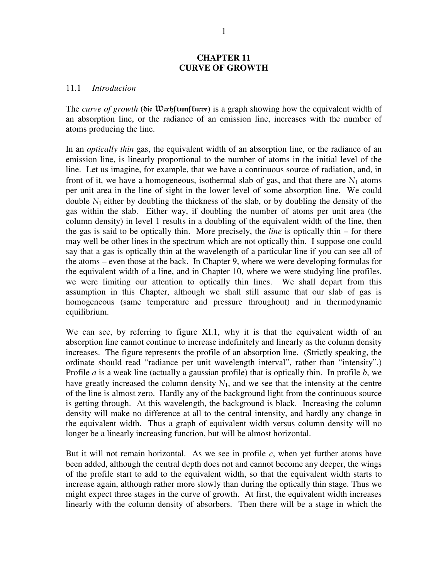### **CHAPTER 11 CURVE OF GROWTH**

#### 11.1 *Introduction*

The *curve of growth* (Sie Wach ftum fturme) is a graph showing how the equivalent width of an absorption line, or the radiance of an emission line, increases with the number of atoms producing the line.

In an *optically thin* gas, the equivalent width of an absorption line, or the radiance of an emission line, is linearly proportional to the number of atoms in the initial level of the line. Let us imagine, for example, that we have a continuous source of radiation, and, in front of it, we have a homogeneous, isothermal slab of gas, and that there are  $N_1$  atoms per unit area in the line of sight in the lower level of some absorption line. We could double  $N_1$  either by doubling the thickness of the slab, or by doubling the density of the gas within the slab. Either way, if doubling the number of atoms per unit area (the column density) in level 1 results in a doubling of the equivalent width of the line, then the gas is said to be optically thin. More precisely, the *line* is optically thin – for there may well be other lines in the spectrum which are not optically thin. I suppose one could say that a gas is optically thin at the wavelength of a particular line if you can see all of the atoms – even those at the back. In Chapter 9, where we were developing formulas for the equivalent width of a line, and in Chapter 10, where we were studying line profiles, we were limiting our attention to optically thin lines. We shall depart from this assumption in this Chapter, although we shall still assume that our slab of gas is homogeneous (same temperature and pressure throughout) and in thermodynamic equilibrium.

We can see, by referring to figure XI.1, why it is that the equivalent width of an absorption line cannot continue to increase indefinitely and linearly as the column density increases. The figure represents the profile of an absorption line. (Strictly speaking, the ordinate should read "radiance per unit wavelength interval", rather than "intensity".) Profile *a* is a weak line (actually a gaussian profile) that is optically thin. In profile *b*, we have greatly increased the column density  $N_1$ , and we see that the intensity at the centre of the line is almost zero. Hardly any of the background light from the continuous source is getting through. At this wavelength, the background is black. Increasing the column density will make no difference at all to the central intensity, and hardly any change in the equivalent width. Thus a graph of equivalent width versus column density will no longer be a linearly increasing function, but will be almost horizontal.

But it will not remain horizontal. As we see in profile  $c$ , when yet further atoms have been added, although the central depth does not and cannot become any deeper, the wings of the profile start to add to the equivalent width, so that the equivalent width starts to increase again, although rather more slowly than during the optically thin stage. Thus we might expect three stages in the curve of growth. At first, the equivalent width increases linearly with the column density of absorbers. Then there will be a stage in which the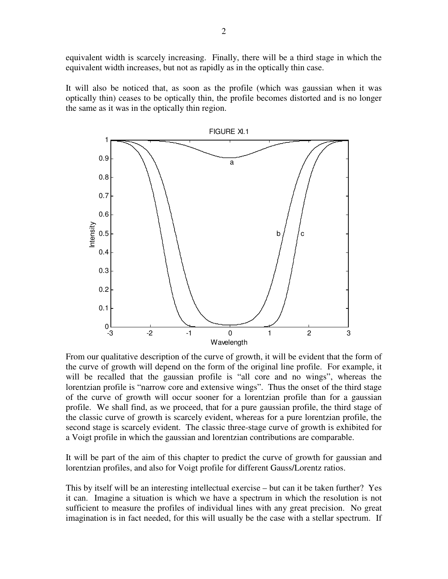equivalent width is scarcely increasing. Finally, there will be a third stage in which the equivalent width increases, but not as rapidly as in the optically thin case.

It will also be noticed that, as soon as the profile (which was gaussian when it was optically thin) ceases to be optically thin, the profile becomes distorted and is no longer the same as it was in the optically thin region.



From our qualitative description of the curve of growth, it will be evident that the form of the curve of growth will depend on the form of the original line profile. For example, it will be recalled that the gaussian profile is "all core and no wings", whereas the lorentzian profile is "narrow core and extensive wings". Thus the onset of the third stage of the curve of growth will occur sooner for a lorentzian profile than for a gaussian profile. We shall find, as we proceed, that for a pure gaussian profile, the third stage of the classic curve of growth is scarcely evident, whereas for a pure lorentzian profile, the second stage is scarcely evident. The classic three-stage curve of growth is exhibited for a Voigt profile in which the gaussian and lorentzian contributions are comparable.

It will be part of the aim of this chapter to predict the curve of growth for gaussian and lorentzian profiles, and also for Voigt profile for different Gauss/Lorentz ratios.

This by itself will be an interesting intellectual exercise – but can it be taken further? Yes it can. Imagine a situation is which we have a spectrum in which the resolution is not sufficient to measure the profiles of individual lines with any great precision. No great imagination is in fact needed, for this will usually be the case with a stellar spectrum. If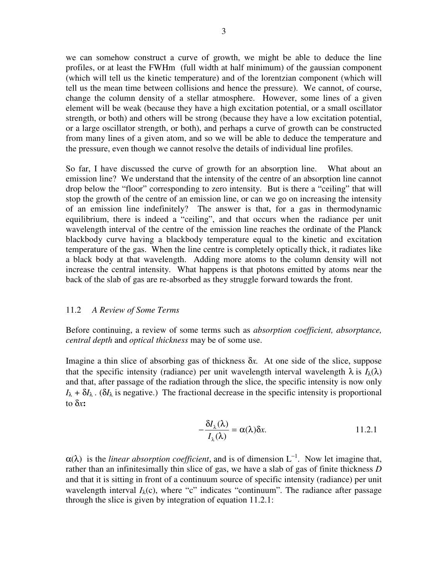we can somehow construct a curve of growth, we might be able to deduce the line profiles, or at least the FWHm (full width at half minimum) of the gaussian component (which will tell us the kinetic temperature) and of the lorentzian component (which will tell us the mean time between collisions and hence the pressure). We cannot, of course, change the column density of a stellar atmosphere. However, some lines of a given element will be weak (because they have a high excitation potential, or a small oscillator strength, or both) and others will be strong (because they have a low excitation potential, or a large oscillator strength, or both), and perhaps a curve of growth can be constructed from many lines of a given atom, and so we will be able to deduce the temperature and the pressure, even though we cannot resolve the details of individual line profiles.

So far, I have discussed the curve of growth for an absorption line. What about an emission line? We understand that the intensity of the centre of an absorption line cannot drop below the "floor" corresponding to zero intensity. But is there a "ceiling" that will stop the growth of the centre of an emission line, or can we go on increasing the intensity of an emission line indefinitely? The answer is that, for a gas in thermodynamic equilibrium, there is indeed a "ceiling", and that occurs when the radiance per unit wavelength interval of the centre of the emission line reaches the ordinate of the Planck blackbody curve having a blackbody temperature equal to the kinetic and excitation temperature of the gas. When the line centre is completely optically thick, it radiates like a black body at that wavelength. Adding more atoms to the column density will not increase the central intensity. What happens is that photons emitted by atoms near the back of the slab of gas are re-absorbed as they struggle forward towards the front.

## 11.2 *A Review of Some Terms*

Before continuing, a review of some terms such as *absorption coefficient, absorptance, central depth* and *optical thickness* may be of some use.

Imagine a thin slice of absorbing gas of thickness δ*x.* At one side of the slice, suppose that the specific intensity (radiance) per unit wavelength interval wavelength  $\lambda$  is  $I_\lambda(\lambda)$ and that, after passage of the radiation through the slice, the specific intensity is now only  $I_{\lambda} + \delta I_{\lambda}$ . ( $\delta I_{\lambda}$  is negative.) The fractional decrease in the specific intensity is proportional to δ*x***:** 

$$
-\frac{\delta I_{\lambda}(\lambda)}{I_{\lambda}(\lambda)} = \alpha(\lambda)\delta x.
$$
 11.2.1

 $\alpha(\lambda)$  is the *linear absorption coefficient*, and is of dimension L<sup>-1</sup>. Now let imagine that, rather than an infinitesimally thin slice of gas, we have a slab of gas of finite thickness *D* and that it is sitting in front of a continuum source of specific intensity (radiance) per unit wavelength interval  $I_{\lambda}(c)$ , where "c" indicates "continuum". The radiance after passage through the slice is given by integration of equation 11.2.1: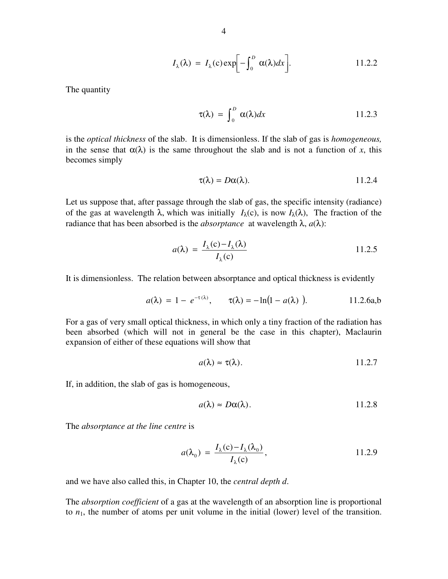$$
I_{\lambda}(\lambda) = I_{\lambda}(c) \exp\biggl[-\int_0^D \alpha(\lambda) dx\biggr].
$$
 11.2.2

The quantity

$$
\tau(\lambda) = \int_0^D \alpha(\lambda) dx \qquad 11.2.3
$$

is the *optical thickness* of the slab. It is dimensionless. If the slab of gas is *homogeneous,* in the sense that  $\alpha(\lambda)$  is the same throughout the slab and is not a function of *x*, this becomes simply

$$
\tau(\lambda) = D\alpha(\lambda). \qquad \qquad 11.2.4
$$

Let us suppose that, after passage through the slab of gas, the specific intensity (radiance) of the gas at wavelength  $\lambda$ , which was initially  $I_{\lambda}(c)$ , is now  $I_{\lambda}(\lambda)$ , The fraction of the radiance that has been absorbed is the *absorptance* at wavelength  $\lambda$ ,  $a(\lambda)$ :

$$
a(\lambda) = \frac{I_{\lambda}(c) - I_{\lambda}(\lambda)}{I_{\lambda}(c)}
$$
 11.2.5

It is dimensionless. The relation between absorptance and optical thickness is evidently

$$
a(\lambda) = 1 - e^{-\tau(\lambda)}, \qquad \tau(\lambda) = -\ln(1 - a(\lambda)). \tag{11.2.6a,b}
$$

For a gas of very small optical thickness, in which only a tiny fraction of the radiation has been absorbed (which will not in general be the case in this chapter), Maclaurin expansion of either of these equations will show that

$$
a(\lambda) \approx \tau(\lambda). \qquad \qquad 11.2.7
$$

If, in addition, the slab of gas is homogeneous,

$$
a(\lambda) \approx D\alpha(\lambda). \qquad \qquad 11.2.8
$$

The *absorptance at the line centre* is

$$
a(\lambda_0) = \frac{I_{\lambda}(c) - I_{\lambda}(\lambda_0)}{I_{\lambda}(c)},
$$
 11.2.9

and we have also called this, in Chapter 10, the *central depth d*.

The *absorption coefficient* of a gas at the wavelength of an absorption line is proportional to  $n_1$ , the number of atoms per unit volume in the initial (lower) level of the transition.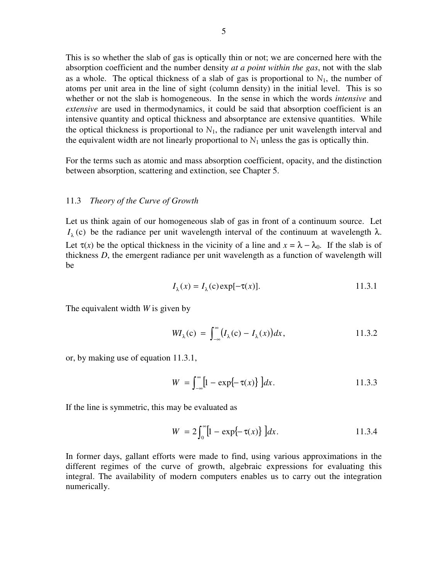This is so whether the slab of gas is optically thin or not; we are concerned here with the absorption coefficient and the number density *at a point within the gas*, not with the slab as a whole. The optical thickness of a slab of gas is proportional to  $N_1$ , the number of atoms per unit area in the line of sight (column density) in the initial level. This is so whether or not the slab is homogeneous. In the sense in which the words *intensive* and *extensive* are used in thermodynamics, it could be said that absorption coefficient is an intensive quantity and optical thickness and absorptance are extensive quantities. While the optical thickness is proportional to  $N_1$ , the radiance per unit wavelength interval and the equivalent width are not linearly proportional to  $N_1$  unless the gas is optically thin.

For the terms such as atomic and mass absorption coefficient, opacity, and the distinction between absorption, scattering and extinction, see Chapter 5.

#### 11.3 *Theory of the Curve of Growth*

Let us think again of our homogeneous slab of gas in front of a continuum source. Let  $I<sub>λ</sub>$  (c) be the radiance per unit wavelength interval of the continuum at wavelength  $λ$ . Let  $\tau(x)$  be the optical thickness in the vicinity of a line and  $x = \lambda - \lambda_0$ . If the slab is of thickness *D*, the emergent radiance per unit wavelength as a function of wavelength will be

$$
I_{\lambda}(x) = I_{\lambda}(c) \exp[-\tau(x)]. \qquad 11.3.1
$$

The equivalent width *W* is given by

$$
W I_{\lambda}(\mathbf{c}) = \int_{-\infty}^{\infty} (I_{\lambda}(\mathbf{c}) - I_{\lambda}(x)) dx, \qquad 11.3.2
$$

or, by making use of equation 11.3.1,

$$
W = \int_{-\infty}^{\infty} [1 - \exp\{-\tau(x)\}] dx.
$$
 11.3.3

If the line is symmetric, this may be evaluated as

$$
W = 2\int_0^\infty [1 - \exp\{-\tau(x)\}] dx.
$$
 11.3.4

In former days, gallant efforts were made to find, using various approximations in the different regimes of the curve of growth, algebraic expressions for evaluating this integral. The availability of modern computers enables us to carry out the integration numerically.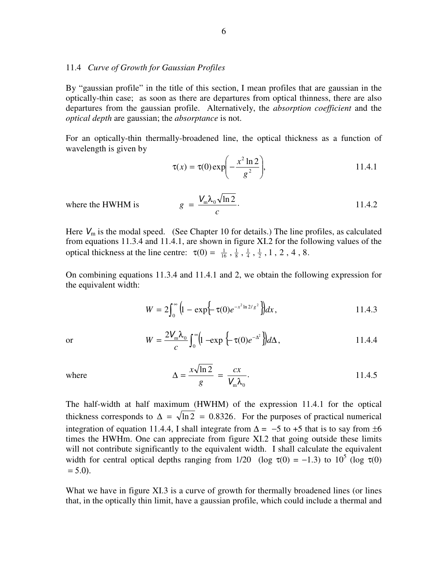### 11.4 *Curve of Growth for Gaussian Profiles*

By "gaussian profile" in the title of this section, I mean profiles that are gaussian in the optically-thin case; as soon as there are departures from optical thinness, there are also departures from the gaussian profile. Alternatively, the *absorption coefficient* and the *optical depth* are gaussian; the *absorptance* is not.

For an optically-thin thermally-broadened line, the optical thickness as a function of wavelength is given by

$$
\tau(x) = \tau(0) \exp\left(-\frac{x^2 \ln 2}{g^2}\right), \tag{11.4.1}
$$

where the HWHM is 
$$
g = \frac{V_{\rm m} \lambda_0 \sqrt{\ln 2}}{c}.
$$
 11.4.2

Here  $V_m$  is the modal speed. (See Chapter 10 for details.) The line profiles, as calculated from equations 11.3.4 and 11.4.1, are shown in figure XI.2 for the following values of the optical thickness at the line centre:  $\tau(0) = \frac{1}{16}, \frac{1}{8}, \frac{1}{4}, \frac{1}{2}, 1, 2, 4, 8$ .

On combining equations 11.3.4 and 11.4.1 and 2, we obtain the following expression for the equivalent width:

$$
W = 2\int_0^\infty \left(1 - \exp\left\{-\tau(0)e^{-x^2 \ln 2/g^2}\right\}\right) dx, \tag{11.4.3}
$$

or 
$$
W = \frac{2V_m\lambda_0}{c} \int_0^\infty \left(1 - \exp\left\{-\tau(0)e^{-\Delta^2}\right\}\right) d\Delta, \qquad 11.4.4
$$

where 
$$
\Delta = \frac{x\sqrt{\ln 2}}{g} = \frac{cx}{V_m\lambda_0}.
$$
 11.4.5

The half-width at half maximum (HWHM) of the expression 11.4.1 for the optical thickness corresponds to  $\Delta = \sqrt{\ln 2} = 0.8326$ . For the purposes of practical numerical integration of equation 11.4.4, I shall integrate from  $\Delta = -5$  to +5 that is to say from  $\pm 6$ times the HWHm. One can appreciate from figure XI.2 that going outside these limits will not contribute significantly to the equivalent width. I shall calculate the equivalent width for central optical depths ranging from 1/20 (log  $\tau(0) = -1.3$ ) to  $10^5$  (log  $\tau(0)$ )  $= 5.0$ ).

What we have in figure XI.3 is a curve of growth for thermally broadened lines (or lines that, in the optically thin limit, have a gaussian profile, which could include a thermal and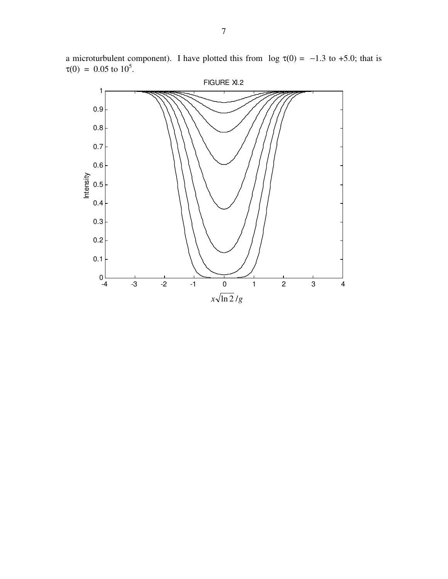

a microturbulent component). I have plotted this from  $log \tau(0) = -1.3$  to +5.0; that is  $\tau(0) = 0.05$  to  $10^5$ .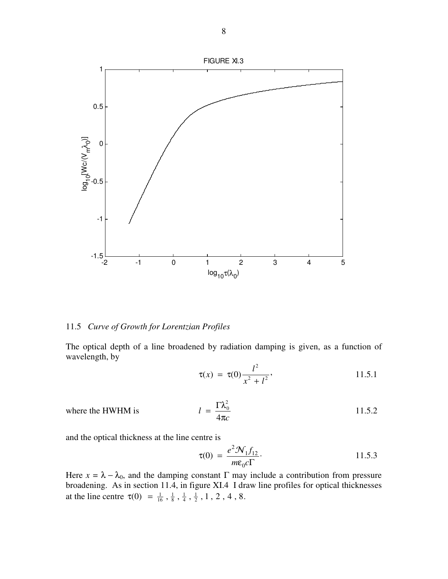

# 11.5 *Curve of Growth for Lorentzian Profiles*

The optical depth of a line broadened by radiation damping is given, as a function of wavelength, by

$$
\tau(x) = \tau(0) \frac{l^2}{x^2 + l^2},
$$
 11.5.1

where the HWHM is 
$$
l = \frac{\Gamma \lambda_0^2}{4\pi c}
$$
 11.5.2

and the optical thickness at the line centre is

$$
\tau(0) = \frac{e^2 \mathcal{N}_1 f_{12}}{m \varepsilon_0 c \Gamma}.
$$
 11.5.3

Here  $x = \lambda - \lambda_0$ , and the damping constant  $\Gamma$  may include a contribution from pressure broadening. As in section 11.4, in figure XI.4 I draw line profiles for optical thicknesses at the line centre  $\tau(0) = \frac{1}{16}, \frac{1}{8}, \frac{1}{4}, \frac{1}{2}, 1, 2, 4, 8$ .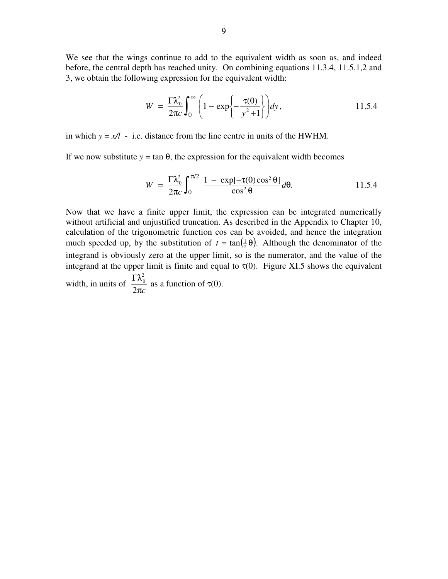We see that the wings continue to add to the equivalent width as soon as, and indeed before, the central depth has reached unity. On combining equations 11.3.4, 11.5.1,2 and 3, we obtain the following expression for the equivalent width:

$$
W = \frac{\Gamma \lambda_0^2}{2\pi c} \int_0^\infty \left(1 - \exp\left\{-\frac{\tau(0)}{y^2 + 1}\right\}\right) dy, \qquad 11.5.4
$$

in which  $y = x/l$  - i.e. distance from the line centre in units of the HWHM.

If we now substitute  $y = \tan \theta$ , the expression for the equivalent width becomes

$$
W = \frac{\Gamma \lambda_0^2}{2\pi c} \int_0^{\pi/2} \frac{1 - \exp[-\tau(0)\cos^2\theta]}{\cos^2\theta} d\theta.
$$
 11.5.4

Now that we have a finite upper limit, the expression can be integrated numerically without artificial and unjustified truncation. As described in the Appendix to Chapter 10, calculation of the trigonometric function cos can be avoided, and hence the integration much speeded up, by the substitution of  $t = \tan(\frac{1}{2}\theta)$ . Although the denominator of the integrand is obviously zero at the upper limit, so is the numerator, and the value of the integrand at the upper limit is finite and equal to  $\tau(0)$ . Figure XI.5 shows the equivalent width, in units of π*c* Γλ 2 2  $\frac{0}{0}$  as a function of  $\tau(0)$ .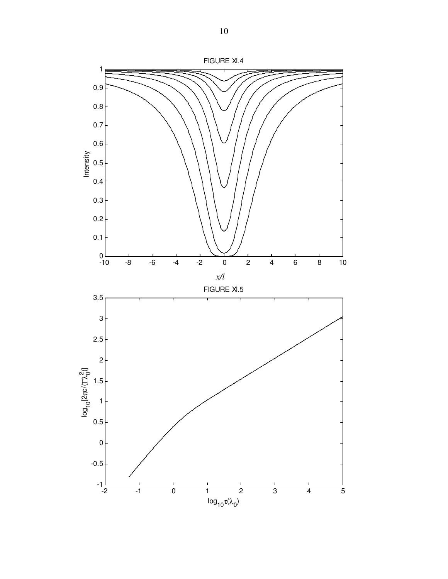

10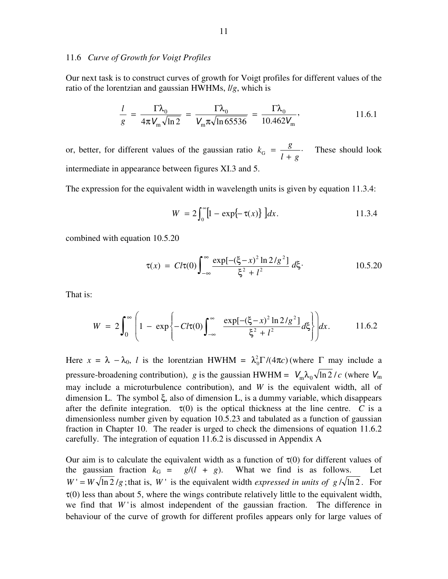#### 11.6 *Curve of Growth for Voigt Profiles*

Our next task is to construct curves of growth for Voigt profiles for different values of the ratio of the lorentzian and gaussian HWHMs, *l*/*g*, which is

$$
\frac{l}{g} = \frac{\Gamma \lambda_0}{4\pi V_m \sqrt{\ln 2}} = \frac{\Gamma \lambda_0}{V_m \pi \sqrt{\ln 65536}} = \frac{\Gamma \lambda_0}{10.462 V_m},
$$
 11.6.1

or, better, for different values of the gaussian ratio  $k_G = \frac{g}{l+g}$ .  $k_{\rm G} = \frac{g}{I}$ +  $=\frac{8}{1}$ . These should look intermediate in appearance between figures XI.3 and 5.

The expression for the equivalent width in wavelength units is given by equation 11.3.4:

$$
W = 2\int_0^\infty [1 - \exp\{-\tau(x)\}] dx.
$$
 11.3.4

combined with equation 10.5.20

$$
\tau(x) = Cl\tau(0) \int_{-\infty}^{\infty} \frac{\exp[-(\xi - x)^2 \ln 2/g^2]}{\xi^2 + l^2} d\xi \qquad 10.5.20
$$

That is:

$$
W = 2\int_0^{\infty} \left(1 - \exp\left\{-Ct(0)\int_{-\infty}^{\infty} \frac{\exp[-(\xi - x)^2 \ln 2/g^2]}{\xi^2 + l^2} d\xi\right\}\right) dx.
$$
 11.6.2

Here  $x = \lambda - \lambda_0$ , *l* is the lorentzian HWHM =  $\lambda_0^2 \Gamma / (4\pi c)$  (where  $\Gamma$  may include a pressure-broadening contribution), *g* is the gaussian HWHM =  $V_m \lambda_0 \sqrt{\ln 2} / c$  (where  $V_m$ may include a microturbulence contribution), and *W* is the equivalent width, all of dimension L. The symbol ξ, also of dimension L, is a dummy variable, which disappears after the definite integration.  $\tau(0)$  is the optical thickness at the line centre. *C* is a dimensionless number given by equation 10.5.23 and tabulated as a function of gaussian fraction in Chapter 10. The reader is urged to check the dimensions of equation 11.6.2 carefully. The integration of equation 11.6.2 is discussed in Appendix A

Our aim is to calculate the equivalent width as a function of  $\tau(0)$  for different values of the gaussian fraction  $k_G = g/(l + g)$ . What we find is as follows. Let  $W' = W \sqrt{\ln 2}/g$ ; that is, W is the equivalent width *expressed in units of*  $g/\sqrt{\ln 2}$ . For  $\tau(0)$  less than about 5, where the wings contribute relatively little to the equivalent width, we find that  $W'$  is almost independent of the gaussian fraction. The difference in behaviour of the curve of growth for different profiles appears only for large values of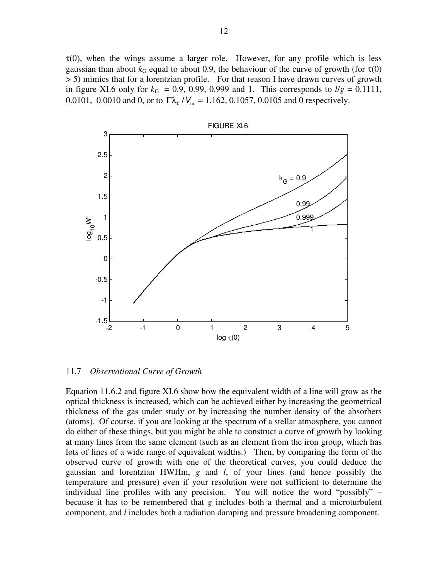$\tau(0)$ , when the wings assume a larger role. However, for any profile which is less gaussian than about  $k_G$  equal to about 0.9, the behaviour of the curve of growth (for  $\tau(0)$ ) > 5) mimics that for a lorentzian profile. For that reason I have drawn curves of growth in figure XI.6 only for  $k_G = 0.9, 0.99, 0.999$  and 1. This corresponds to  $l/g = 0.1111$ , 0.0101, 0.0010 and 0, or to  $\Gamma \lambda_0 / V_m = 1.162, 0.1057, 0.0105$  and 0 respectively.



11.7 *Observational Curve of Growth* 

Equation 11.6.2 and figure XI.6 show how the equivalent width of a line will grow as the optical thickness is increased, which can be achieved either by increasing the geometrical thickness of the gas under study or by increasing the number density of the absorbers (atoms). Of course, if you are looking at the spectrum of a stellar atmosphere, you cannot do either of these things, but you might be able to construct a curve of growth by looking at many lines from the same element (such as an element from the iron group, which has lots of lines of a wide range of equivalent widths.) Then, by comparing the form of the observed curve of growth with one of the theoretical curves, you could deduce the gaussian and lorentzian HWHm, *g* and *l*, of your lines (and hence possibly the temperature and pressure) even if your resolution were not sufficient to determine the individual line profiles with any precision. You will notice the word "possibly" – because it has to be remembered that *g* includes both a thermal and a microturbulent component, and *l* includes both a radiation damping and pressure broadening component.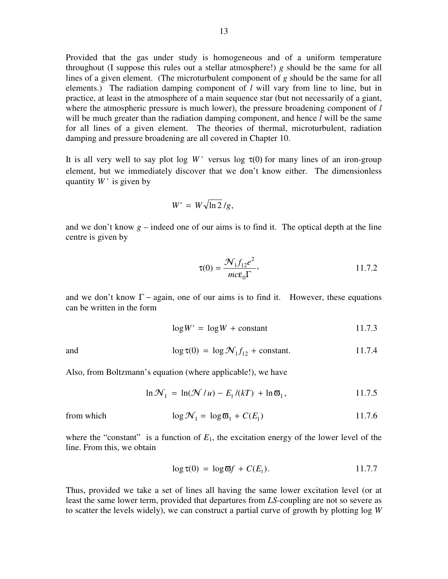Provided that the gas under study is homogeneous and of a uniform temperature throughout (I suppose this rules out a stellar atmosphere!) *g* should be the same for all lines of a given element. (The microturbulent component of *g* should be the same for all elements.) The radiation damping component of *l* will vary from line to line, but in practice, at least in the atmosphere of a main sequence star (but not necessarily of a giant, where the atmospheric pressure is much lower), the pressure broadening component of *l* will be much greater than the radiation damping component, and hence *l* will be the same for all lines of a given element. The theories of thermal, microturbulent, radiation damping and pressure broadening are all covered in Chapter 10.

It is all very well to say plot log  $W'$  versus log  $\tau(0)$  for many lines of an iron-group element, but we immediately discover that we don't know either. The dimensionless quantity  $W'$  is given by

$$
W' = W \sqrt{\ln 2} / g,
$$

and we don't know  $g$  – indeed one of our aims is to find it. The optical depth at the line centre is given by

$$
\tau(0) = \frac{\mathcal{N}_1 f_{12} e^2}{mc \varepsilon_0 \Gamma},
$$
 11.7.2

and we don't know  $\Gamma$  – again, one of our aims is to find it. However, these equations can be written in the form

$$
\log W' = \log W + \text{constant} \tag{11.7.3}
$$

and 
$$
\log \tau(0) = \log \mathcal{N}_1 f_{12} + \text{constant.}
$$
 11.7.4

Also, from Boltzmann's equation (where applicable!), we have

$$
\ln \mathcal{N}_1 = \ln(\mathcal{N}/u) - E_1/(kT) + \ln \overline{\omega}_1, \qquad 11.7.5
$$

from which 
$$
\log \mathcal{N}_1 = \log \overline{\omega}_1 + C(E_1)
$$
 11.7.6

where the "constant" is a function of  $E_1$ , the excitation energy of the lower level of the line. From this, we obtain

$$
\log \tau(0) = \log \varpi f + C(E_1). \tag{11.7.7}
$$

Thus, provided we take a set of lines all having the same lower excitation level (or at least the same lower term, provided that departures from *LS*-coupling are not so severe as to scatter the levels widely), we can construct a partial curve of growth by plotting log *W*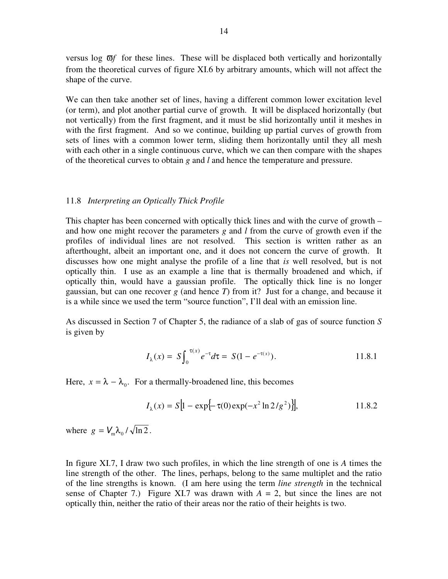versus log ϖ*f* for these lines. These will be displaced both vertically and horizontally from the theoretical curves of figure XI.6 by arbitrary amounts, which will not affect the shape of the curve.

We can then take another set of lines, having a different common lower excitation level (or term), and plot another partial curve of growth. It will be displaced horizontally (but not vertically) from the first fragment, and it must be slid horizontally until it meshes in with the first fragment. And so we continue, building up partial curves of growth from sets of lines with a common lower term, sliding them horizontally until they all mesh with each other in a single continuous curve, which we can then compare with the shapes of the theoretical curves to obtain *g* and *l* and hence the temperature and pressure.

### 11.8 *Interpreting an Optically Thick Profile*

This chapter has been concerned with optically thick lines and with the curve of growth – and how one might recover the parameters *g* and *l* from the curve of growth even if the profiles of individual lines are not resolved. This section is written rather as an afterthought, albeit an important one, and it does not concern the curve of growth. It discusses how one might analyse the profile of a line that *is* well resolved, but is not optically thin. I use as an example a line that is thermally broadened and which, if optically thin, would have a gaussian profile. The optically thick line is no longer gaussian, but can one recover *g* (and hence *T*) from it? Just for a change, and because it is a while since we used the term "source function", I'll deal with an emission line.

As discussed in Section 7 of Chapter 5, the radiance of a slab of gas of source function *S* is given by

$$
I_{\lambda}(x) = S \int_0^{\tau(x)} e^{-\tau} d\tau = S(1 - e^{-\tau(x)}).
$$
 11.8.1

Here,  $x = \lambda - \lambda_0$ . For a thermally-broadened line, this becomes

$$
I_{\lambda}(x) = S[1 - \exp\{-\tau(0)\exp(-x^2 \ln 2/g^2)\}],
$$
 11.8.2

where  $g = V_m \lambda_0 / \sqrt{\ln 2}$ .

In figure XI.7, I draw two such profiles, in which the line strength of one is *A* times the line strength of the other. The lines, perhaps, belong to the same multiplet and the ratio of the line strengths is known. (I am here using the term *line strength* in the technical sense of Chapter 7.) Figure XI.7 was drawn with  $A = 2$ , but since the lines are not optically thin, neither the ratio of their areas nor the ratio of their heights is two.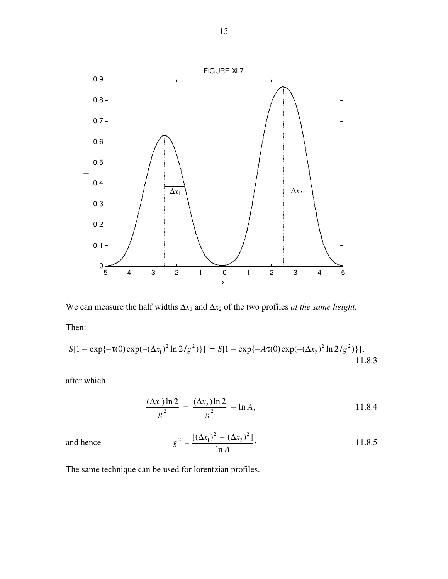

We can measure the half widths  $\Delta x_1$  and  $\Delta x_2$  of the two profiles *at the same height*. Then:

$$
S[1 - \exp{-\tau(0)\exp(-(\Delta x_1)^2 \ln 2/g^2)}] = S[1 - \exp{-A\tau(0)\exp(-(\Delta x_2)^2 \ln 2/g^2)}],
$$
11.8.3

after which

$$
\frac{(\Delta x_1) \ln 2}{g^2} = \frac{(\Delta x_2) \ln 2}{g^2} - \ln A, \qquad 11.8.4
$$

ence 
$$
g^{2} = \frac{[(\Delta x_{1})^{2} - (\Delta x_{2})^{2}]}{\ln A}.
$$
 11.8.5

The same technique can be used for lorentzian profiles.

and he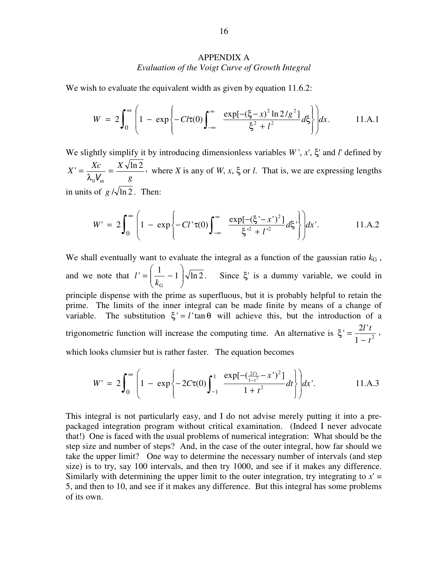# APPENDIX A *Evaluation of the Voigt Curve of Growth Integral*

We wish to evaluate the equivalent width as given by equation 11.6.2:

$$
W = 2\int_0^{\infty} \left(1 - \exp\left\{-Ct(0)\int_{-\infty}^{\infty} \frac{\exp[-(\xi - x)^2 \ln 2/g^2]}{\xi^2 + l^2} d\xi\right\}\right) dx.
$$
 11.A.1

We slightly simplify it by introducing dimensionless variables *W* ', *x*', ξ' and *l*' defined by  $\sigma' = \frac{Xc}{\lambda_0 V_m} = \frac{X \sqrt{\ln 2}}{g},$  $X' = \frac{Xc}{2\lambda} = \frac{X}{2}$ λ  $=\frac{AC}{\lambda_0V_{\text{max}}}=\frac{AC}{g}$ , where *X* is any of *W*, *x*,  $\xi$  or *l*. That is, we are expressing lengths in units of  $g/\sqrt{\ln 2}$ . Then:

$$
W' = 2\int_0^{\infty} \left(1 - \exp\left\{-C l' \tau(0) \int_{-\infty}^{\infty} \frac{\exp[-(\xi'-x')^2]}{\xi'^2 + l'^2} d\xi'\right\}\right) dx'. \quad 11. A.2
$$

We shall eventually want to evaluate the integral as a function of the gaussian ratio  $k<sub>G</sub>$ , and we note that  $l' = \left(\frac{1}{k_G} - 1\right) \sqrt{\ln 2}$ .  $\overline{\phantom{a}}$ J  $\backslash$  $\overline{\phantom{a}}$ J ſ  $=$   $\frac{1}{1}$   $$ *k*  $l' = \frac{1}{l} - 1 \sqrt{\ln 2}$ . Since ξ' is a dummy variable, we could in principle dispense with the prime as superfluous, but it is probably helpful to retain the prime. The limits of the inner integral can be made finite by means of a change of variable. The substitution  $\xi' = l' \tan \theta$  will achieve this, but the introduction of a trigonometric function will increase the computing time. An alternative is  $\xi = \frac{2i}{\lambda}$ , 1  $\sigma' = \frac{2l' t}{1 - t^2}$ *tl* −  $\xi' = \frac{2i}{1}$ , which looks clumsier but is rather faster. The equation becomes

$$
W' = 2\int_0^{\infty} \left(1 - \exp\left\{-2C\tau(0)\int_{-1}^1 \frac{\exp[-(\frac{2l't}{1-t^2} - x')]^2]}{1+t^2}dt\right\}\right) dx'. \tag{11.A.3}
$$

This integral is not particularly easy, and I do not advise merely putting it into a prepackaged integration program without critical examination. (Indeed I never advocate that!) One is faced with the usual problems of numerical integration: What should be the step size and number of steps? And, in the case of the outer integral, how far should we take the upper limit? One way to determine the necessary number of intervals (and step size) is to try, say 100 intervals, and then try 1000, and see if it makes any difference. Similarly with determining the upper limit to the outer integration, try integrating to  $x' =$ 5, and then to 10, and see if it makes any difference. But this integral has some problems of its own.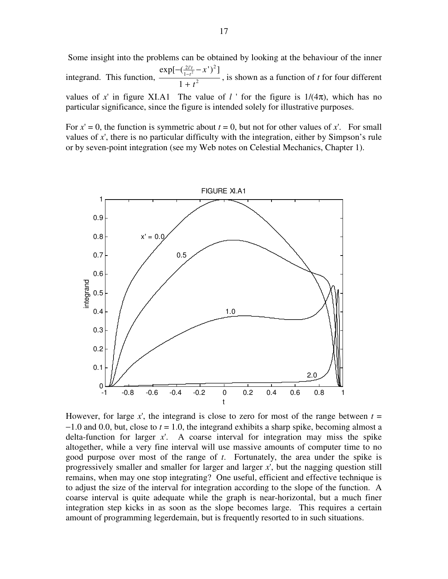Some insight into the problems can be obtained by looking at the behaviour of the inner integrand. This function,  $\frac{2}{1-t^2}$ 2 1  $2 *l*$ 1  $\exp[-(\frac{2 l' t}{1-t^2} - x')^2]$ *t*  $\frac{r_t}{t^2} - x$ *tl* +  $\frac{-\left(\frac{2l't}{1-t^2}-x'\right)^2]}{2}$ , is shown as a function of *t* for four different values of x' in figure XI.A1 The value of  $l$  ' for the figure is  $1/(4\pi)$ , which has no particular significance, since the figure is intended solely for illustrative purposes.

For  $x' = 0$ , the function is symmetric about  $t = 0$ , but not for other values of x'. For small values of *x*', there is no particular difficulty with the integration, either by Simpson's rule or by seven-point integration (see my Web notes on Celestial Mechanics, Chapter 1).



However, for large x', the integrand is close to zero for most of the range between  $t =$ −1.0 and 0.0, but, close to *t* = 1.0, the integrand exhibits a sharp spike, becoming almost a delta-function for larger *x*'. A coarse interval for integration may miss the spike altogether, while a very fine interval will use massive amounts of computer time to no good purpose over most of the range of *t*. Fortunately, the area under the spike is progressively smaller and smaller for larger and larger *x*', but the nagging question still remains, when may one stop integrating? One useful, efficient and effective technique is to adjust the size of the interval for integration according to the slope of the function. A coarse interval is quite adequate while the graph is near-horizontal, but a much finer integration step kicks in as soon as the slope becomes large. This requires a certain amount of programming legerdemain, but is frequently resorted to in such situations.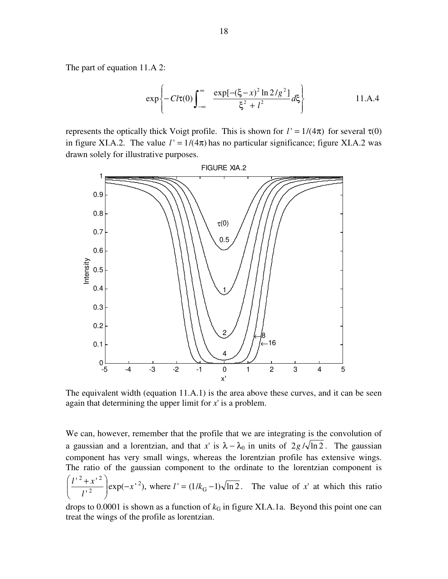The part of equation 11.A 2:

$$
\exp\left\{-Cl\tau(0)\int_{-\infty}^{\infty} \frac{\exp[-(\xi-x)^{2}\ln 2/g^{2}]}{\xi^{2}+l^{2}}d\xi\right\}
$$
 11.A.4

represents the optically thick Voigt profile. This is shown for  $l' = 1/(4\pi)$  for several  $\tau(0)$ in figure XI.A.2. The value  $l' = 1/(4\pi)$  has no particular significance; figure XI.A.2 was drawn solely for illustrative purposes.



The equivalent width (equation 11.A.1) is the area above these curves, and it can be seen again that determining the upper limit for *x*' is a problem.

We can, however, remember that the profile that we are integrating is the convolution of a gaussian and a lorentzian, and that *x*' is  $\lambda - \lambda_0$  in units of 2*g* / $\sqrt{\ln 2}$ . The gaussian component has very small wings, whereas the lorentzian profile has extensive wings. The ratio of the gaussian component to the ordinate to the lorentzian component is  $\frac{dx}{dt^2}$  exp(-x<sup>+2</sup>), where  $l' = (1/k_G - 1)\sqrt{\ln 2}$ .  $'$  +  $x'$ G 2 2  $2 \sqrt{2}$  $exp(-x^{-2})$ , where  $l' = (1/k_G -$ J  $\backslash$  $\overline{\phantom{a}}$  $\setminus$  $\left(\frac{l^{2} + x^{2}}{l^{2}}\right)$  exp(-x<sup>2</sup>), where  $l' = (1/k)$ *l*  $\frac{l^{2}+x^{2}}{l^{2}}$  exp(-x<sup>+2</sup>), where  $l' = (1/k_{G}-1)\sqrt{\ln 2}$ . The value of x' at which this ratio

drops to  $0.0001$  is shown as a function of  $k<sub>G</sub>$  in figure XI.A.1a. Beyond this point one can treat the wings of the profile as lorentzian.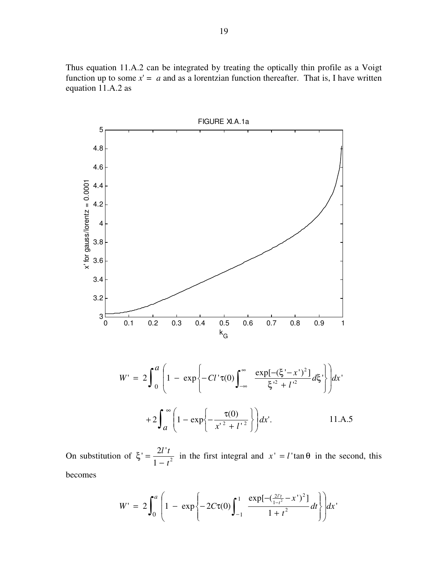Thus equation 11.A.2 can be integrated by treating the optically thin profile as a Voigt function up to some  $x' = a$  and as a lorentzian function thereafter. That is, I have written equation 11.A.2 as



On substitution of  $\xi' = \frac{2t^2 t}{1 - t^2}$  $' = \frac{2l' i}{1-t}$ *tl* −  $\xi' = \frac{2\pi}{\lambda}$  in the first integral and  $x' = l' \tan \theta$  in the second, this becomes

$$
W' = 2\int_0^a \left(1 - \exp\left\{-2C\tau(0)\int_{-1}^1 \frac{\exp[-(\frac{2l't}{1-t^2} - x')^2]}{1+t^2}dt\right\}\right)dx'
$$